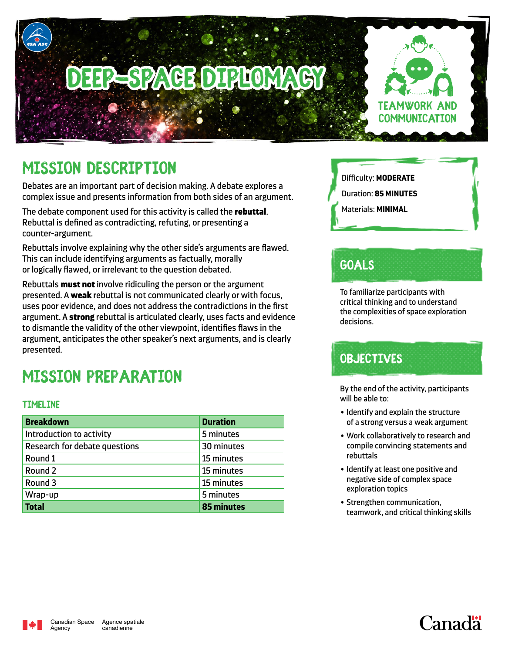# **EPESPACE DIPLOM**



# **Mission Description**

Debates are an important part of decision making. A debate explores a complex issue and presents information from both sides of an argument.

The debate component used for this activity is called the rebuttal. Rebuttal is defined as contradicting, refuting, or presenting a counter-argument.

Rebuttals involve explaining why the other side's arguments are flawed. This can include identifying arguments as factually, morally or logically flawed, or irrelevant to the question debated.

Rebuttals must not involve ridiculing the person or the argument presented. A weak rebuttal is not communicated clearly or with focus, uses poor evidence, and does not address the contradictions in the first argument. A strong rebuttal is articulated clearly, uses facts and evidence to dismantle the validity of the other viewpoint, identifies flaws in the argument, anticipates the other speaker's next arguments, and is clearly presented.

# **Mission Preparation**

#### **Timeline**

| <b>Breakdown</b>                     | <b>Duration</b> |
|--------------------------------------|-----------------|
| Introduction to activity             | 5 minutes       |
| <b>Research for debate questions</b> | 30 minutes      |
| Round 1                              | 15 minutes      |
| Round 2                              | 15 minutes      |
| Round 3                              | 15 minutes      |
| Wrap-up                              | 5 minutes       |
| <b>Total</b>                         | 85 minutes      |



- Duration: **85 MINUTES**
- Materials: **MINIMAL**

# **Goals**

To familiarize participants with critical thinking and to understand the complexities of space exploration decisions.

## **Objectives**

By the end of the activity, participants will be able to:

- Identify and explain the structure of a strong versus a weak argument
- Work collaboratively to research and compile convincing statements and rebuttals
- Identify at least one positive and negative side of complex space exploration topics
- Strengthen communication, teamwork, and critical thinking skills